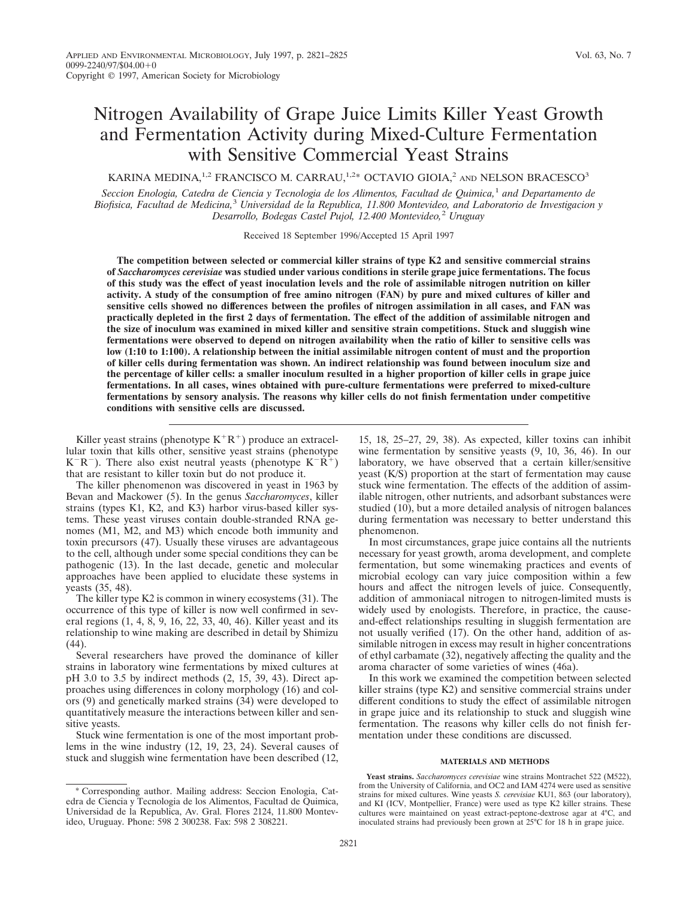# Nitrogen Availability of Grape Juice Limits Killer Yeast Growth and Fermentation Activity during Mixed-Culture Fermentation with Sensitive Commercial Yeast Strains

KARINA MEDINA,<sup>1,2</sup> FRANCISCO M. CARRAU,<sup>1,2\*</sup> OCTAVIO GIOIA,<sup>2</sup> AND NELSON BRACESCO<sup>3</sup>

*Seccion Enologia, Catedra de Ciencia y Tecnologia de los Alimentos, Facultad de Quimica,*<sup>1</sup> *and Departamento de Biofisica, Facultad de Medicina,*<sup>3</sup> *Universidad de la Republica, 11.800 Montevideo, and Laboratorio de Investigacion y Desarrollo, Bodegas Castel Pujol, 12.400 Montevideo,*<sup>2</sup> *Uruguay*

Received 18 September 1996/Accepted 15 April 1997

**The competition between selected or commercial killer strains of type K2 and sensitive commercial strains of** *Saccharomyces cerevisiae* **was studied under various conditions in sterile grape juice fermentations. The focus of this study was the effect of yeast inoculation levels and the role of assimilable nitrogen nutrition on killer activity. A study of the consumption of free amino nitrogen (FAN) by pure and mixed cultures of killer and sensitive cells showed no differences between the profiles of nitrogen assimilation in all cases, and FAN was practically depleted in the first 2 days of fermentation. The effect of the addition of assimilable nitrogen and the size of inoculum was examined in mixed killer and sensitive strain competitions. Stuck and sluggish wine fermentations were observed to depend on nitrogen availability when the ratio of killer to sensitive cells was low (1:10 to 1:100). A relationship between the initial assimilable nitrogen content of must and the proportion of killer cells during fermentation was shown. An indirect relationship was found between inoculum size and the percentage of killer cells: a smaller inoculum resulted in a higher proportion of killer cells in grape juice fermentations. In all cases, wines obtained with pure-culture fermentations were preferred to mixed-culture fermentations by sensory analysis. The reasons why killer cells do not finish fermentation under competitive conditions with sensitive cells are discussed.**

Killer yeast strains (phenotype  $K^+R^+$ ) produce an extracellular toxin that kills other, sensitive yeast strains (phenotype  $K^-R^-$ ). There also exist neutral yeasts (phenotype  $K^-R^+$ ) that are resistant to killer toxin but do not produce it.

The killer phenomenon was discovered in yeast in 1963 by Bevan and Mackower (5). In the genus *Saccharomyces*, killer strains (types K1, K2, and K3) harbor virus-based killer systems. These yeast viruses contain double-stranded RNA genomes (M1, M2, and M3) which encode both immunity and toxin precursors (47). Usually these viruses are advantageous to the cell, although under some special conditions they can be pathogenic (13). In the last decade, genetic and molecular approaches have been applied to elucidate these systems in yeasts (35, 48).

The killer type K2 is common in winery ecosystems (31). The occurrence of this type of killer is now well confirmed in several regions (1, 4, 8, 9, 16, 22, 33, 40, 46). Killer yeast and its relationship to wine making are described in detail by Shimizu (44).

Several researchers have proved the dominance of killer strains in laboratory wine fermentations by mixed cultures at pH 3.0 to 3.5 by indirect methods (2, 15, 39, 43). Direct approaches using differences in colony morphology (16) and colors (9) and genetically marked strains (34) were developed to quantitatively measure the interactions between killer and sensitive yeasts.

Stuck wine fermentation is one of the most important problems in the wine industry (12, 19, 23, 24). Several causes of stuck and sluggish wine fermentation have been described (12,

15, 18, 25–27, 29, 38). As expected, killer toxins can inhibit wine fermentation by sensitive yeasts (9, 10, 36, 46). In our laboratory, we have observed that a certain killer/sensitive yeast (K/S) proportion at the start of fermentation may cause stuck wine fermentation. The effects of the addition of assimilable nitrogen, other nutrients, and adsorbant substances were studied (10), but a more detailed analysis of nitrogen balances during fermentation was necessary to better understand this phenomenon.

In most circumstances, grape juice contains all the nutrients necessary for yeast growth, aroma development, and complete fermentation, but some winemaking practices and events of microbial ecology can vary juice composition within a few hours and affect the nitrogen levels of juice. Consequently, addition of ammoniacal nitrogen to nitrogen-limited musts is widely used by enologists. Therefore, in practice, the causeand-effect relationships resulting in sluggish fermentation are not usually verified (17). On the other hand, addition of assimilable nitrogen in excess may result in higher concentrations of ethyl carbamate (32), negatively affecting the quality and the aroma character of some varieties of wines (46a).

In this work we examined the competition between selected killer strains (type K2) and sensitive commercial strains under different conditions to study the effect of assimilable nitrogen in grape juice and its relationship to stuck and sluggish wine fermentation. The reasons why killer cells do not finish fermentation under these conditions are discussed.

## **MATERIALS AND METHODS**

**Yeast strains.** *Saccharomyces cerevisiae* wine strains Montrachet 522 (M522), from the University of California, and OC2 and IAM 4274 were used as sensitive strains for mixed cultures. Wine yeasts *S. cerevisiae* KU1, 863 (our laboratory), and KI (ICV, Montpellier, France) were used as type K2 killer strains. These cultures were maintained on yeast extract-peptone-dextrose agar at 4°C, and inoculated strains had previously been grown at 25°C for 18 h in grape juice.

<sup>\*</sup> Corresponding author. Mailing address: Seccion Enologia, Catedra de Ciencia y Tecnologia de los Alimentos, Facultad de Quimica, Universidad de la Republica, Av. Gral. Flores 2124, 11.800 Montevideo, Uruguay. Phone: 598 2 300238. Fax: 598 2 308221.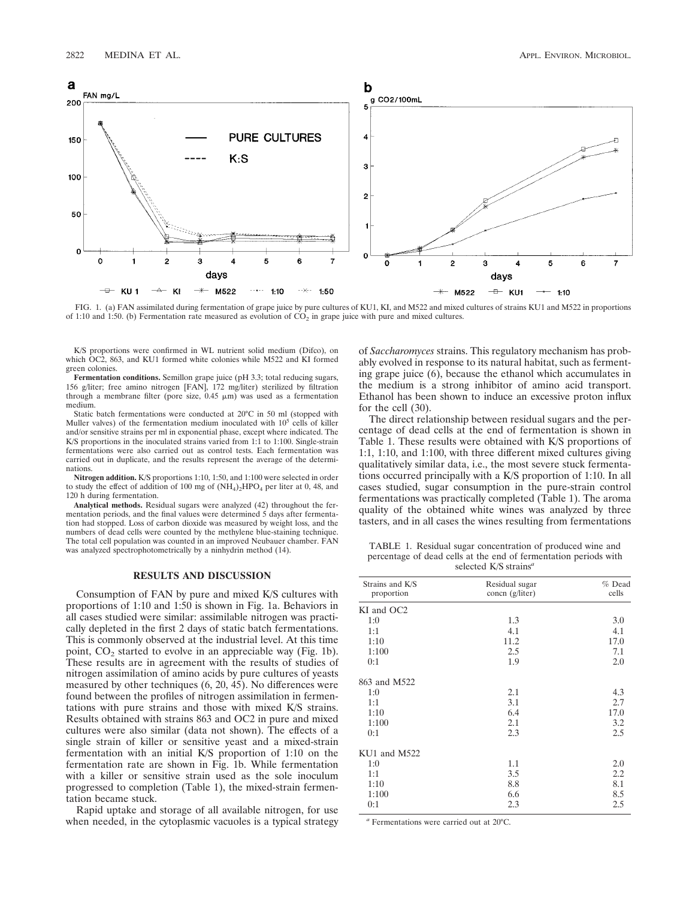

FIG. 1. (a) FAN assimilated during fermentation of grape juice by pure cultures of KU1, KI, and M522 and mixed cultures of strains KU1 and M522 in proportions of 1:10 and 1:50. (b) Fermentation rate measured as evolution of  $CO<sub>2</sub>$  in grape juice with pure and mixed cultures.

K/S proportions were confirmed in WL nutrient solid medium (Difco), on which OC2, 863, and KU1 formed white colonies while M522 and KI formed green colonies.

**Fermentation conditions.** Semillon grape juice (pH 3.3; total reducing sugars, 156 g/liter; free amino nitrogen [FAN], 172 mg/liter) sterilized by filtration through a membrane filter (pore size,  $0.45 \mu m$ ) was used as a fermentation medium.

Static batch fermentations were conducted at 20°C in 50 ml (stopped with Muller valves) of the fermentation medium inoculated with  $10^5$  cells of killer and/or sensitive strains per ml in exponential phase, except where indicated. The K/S proportions in the inoculated strains varied from 1:1 to 1:100. Single-strain fermentations were also carried out as control tests. Each fermentation was carried out in duplicate, and the results represent the average of the determinations.

**Nitrogen addition.** K/S proportions 1:10, 1:50, and 1:100 were selected in order to study the effect of addition of 100 mg of  $(NH<sub>4</sub>)<sub>2</sub>HPO<sub>4</sub>$  per liter at 0, 48, and 120 h during fermentation.

**Analytical methods.** Residual sugars were analyzed (42) throughout the fermentation periods, and the final values were determined 5 days after fermentation had stopped. Loss of carbon dioxide was measured by weight loss, and the numbers of dead cells were counted by the methylene blue-staining technique. The total cell population was counted in an improved Neubauer chamber. FAN was analyzed spectrophotometrically by a ninhydrin method (14).

# **RESULTS AND DISCUSSION**

Consumption of FAN by pure and mixed K/S cultures with proportions of 1:10 and 1:50 is shown in Fig. 1a. Behaviors in all cases studied were similar: assimilable nitrogen was practically depleted in the first 2 days of static batch fermentations. This is commonly observed at the industrial level. At this time point,  $CO<sub>2</sub>$  started to evolve in an appreciable way (Fig. 1b). These results are in agreement with the results of studies of nitrogen assimilation of amino acids by pure cultures of yeasts measured by other techniques (6, 20, 45). No differences were found between the profiles of nitrogen assimilation in fermentations with pure strains and those with mixed K/S strains. Results obtained with strains 863 and OC2 in pure and mixed cultures were also similar (data not shown). The effects of a single strain of killer or sensitive yeast and a mixed-strain fermentation with an initial K/S proportion of 1:10 on the fermentation rate are shown in Fig. 1b. While fermentation with a killer or sensitive strain used as the sole inoculum progressed to completion (Table 1), the mixed-strain fermentation became stuck.

Rapid uptake and storage of all available nitrogen, for use when needed, in the cytoplasmic vacuoles is a typical strategy of *Saccharomyces* strains. This regulatory mechanism has probably evolved in response to its natural habitat, such as fermenting grape juice (6), because the ethanol which accumulates in the medium is a strong inhibitor of amino acid transport. Ethanol has been shown to induce an excessive proton influx for the cell (30).

The direct relationship between residual sugars and the percentage of dead cells at the end of fermentation is shown in Table 1. These results were obtained with K/S proportions of 1:1, 1:10, and 1:100, with three different mixed cultures giving qualitatively similar data, i.e., the most severe stuck fermentations occurred principally with a K/S proportion of 1:10. In all cases studied, sugar consumption in the pure-strain control fermentations was practically completed (Table 1). The aroma quality of the obtained white wines was analyzed by three tasters, and in all cases the wines resulting from fermentations

TABLE 1. Residual sugar concentration of produced wine and percentage of dead cells at the end of fermentation periods with selected K/S strains*<sup>a</sup>*

| Strains and K/S<br>proportion | Residual sugar<br>concn (g/liter) | $%$ Dead<br>cells |
|-------------------------------|-----------------------------------|-------------------|
| KI and OC2                    |                                   |                   |
| 1:0                           | 1.3                               | 3.0               |
| 1:1                           | 4.1                               | 4.1               |
| 1:10                          | 11.2                              | 17.0              |
| 1:100                         | 2.5                               | 7.1               |
| 0:1                           | 1.9                               | 2.0               |
| 863 and M522                  |                                   |                   |
| 1:0                           | 2.1                               | 4.3               |
| 1:1                           | 3.1                               | 2.7               |
| 1:10                          | 6.4                               | 17.0              |
| 1:100                         | 2.1                               | 3.2               |
| 0:1                           | 2.3                               | 2.5               |
| $KU1$ and $M522$              |                                   |                   |
| 1:0                           | 1.1                               | 2.0               |
| 1:1                           | 3.5                               | 2.2               |
| 1:10                          | 8.8                               | 8.1               |
| 1:100                         | 6.6                               | 8.5               |
| 0:1                           | 2.3                               | 2.5               |

*<sup>a</sup>* Fermentations were carried out at 20°C.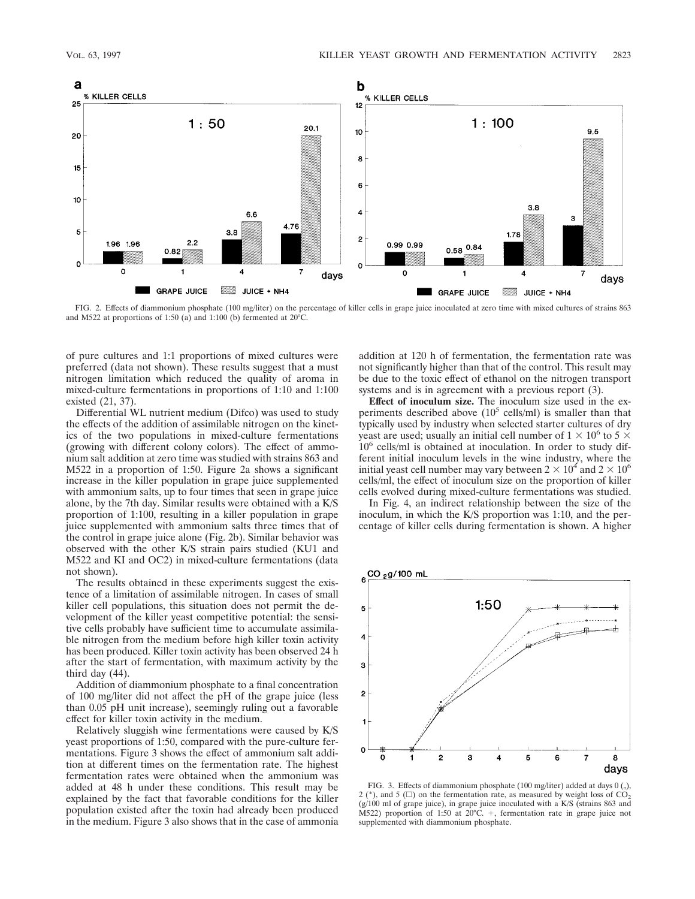

FIG. 2. Effects of diammonium phosphate (100 mg/liter) on the percentage of killer cells in grape juice inoculated at zero time with mixed cultures of strains 863 and M522 at proportions of 1:50 (a) and 1:100 (b) fermented at 20°C.

of pure cultures and 1:1 proportions of mixed cultures were preferred (data not shown). These results suggest that a must nitrogen limitation which reduced the quality of aroma in mixed-culture fermentations in proportions of 1:10 and 1:100 existed (21, 37).

Differential WL nutrient medium (Difco) was used to study the effects of the addition of assimilable nitrogen on the kinetics of the two populations in mixed-culture fermentations (growing with different colony colors). The effect of ammonium salt addition at zero time was studied with strains 863 and M522 in a proportion of 1:50. Figure 2a shows a significant increase in the killer population in grape juice supplemented with ammonium salts, up to four times that seen in grape juice alone, by the 7th day. Similar results were obtained with a K/S proportion of 1:100, resulting in a killer population in grape juice supplemented with ammonium salts three times that of the control in grape juice alone (Fig. 2b). Similar behavior was observed with the other K/S strain pairs studied (KU1 and M522 and KI and OC2) in mixed-culture fermentations (data not shown).

The results obtained in these experiments suggest the existence of a limitation of assimilable nitrogen. In cases of small killer cell populations, this situation does not permit the development of the killer yeast competitive potential: the sensitive cells probably have sufficient time to accumulate assimilable nitrogen from the medium before high killer toxin activity has been produced. Killer toxin activity has been observed 24 h after the start of fermentation, with maximum activity by the third day (44).

Addition of diammonium phosphate to a final concentration of 100 mg/liter did not affect the pH of the grape juice (less than 0.05 pH unit increase), seemingly ruling out a favorable effect for killer toxin activity in the medium.

Relatively sluggish wine fermentations were caused by K/S yeast proportions of 1:50, compared with the pure-culture fermentations. Figure 3 shows the effect of ammonium salt addition at different times on the fermentation rate. The highest fermentation rates were obtained when the ammonium was added at 48 h under these conditions. This result may be explained by the fact that favorable conditions for the killer population existed after the toxin had already been produced in the medium. Figure 3 also shows that in the case of ammonia addition at 120 h of fermentation, the fermentation rate was not significantly higher than that of the control. This result may be due to the toxic effect of ethanol on the nitrogen transport systems and is in agreement with a previous report (3).

**Effect of inoculum size.** The inoculum size used in the experiments described above  $(10^5 \text{ cells/ml})$  is smaller than that typically used by industry when selected starter cultures of dry yeast are used; usually an initial cell number of  $1 \times 10^6$  to 5  $\times$  $10<sup>6</sup>$  cells/ml is obtained at inoculation. In order to study different initial inoculum levels in the wine industry, where the initial yeast cell number may vary between  $2 \times 10^4$  and  $2 \times 10^6$ cells/ml, the effect of inoculum size on the proportion of killer cells evolved during mixed-culture fermentations was studied.

In Fig. 4, an indirect relationship between the size of the inoculum, in which the K/S proportion was 1:10, and the percentage of killer cells during fermentation is shown. A higher



FIG. 3. Effects of diammonium phosphate (100 mg/liter) added at days  $0 \text{ } (n)$ , 2 (\*), and 5 ( $\Box$ ) on the fermentation rate, as measured by weight loss of  $CO_2$ (g/100 ml of grape juice), in grape juice inoculated with a K/S (strains 863 and M522) proportion of 1:50 at 20°C. 1, fermentation rate in grape juice not supplemented with diammonium phosphate.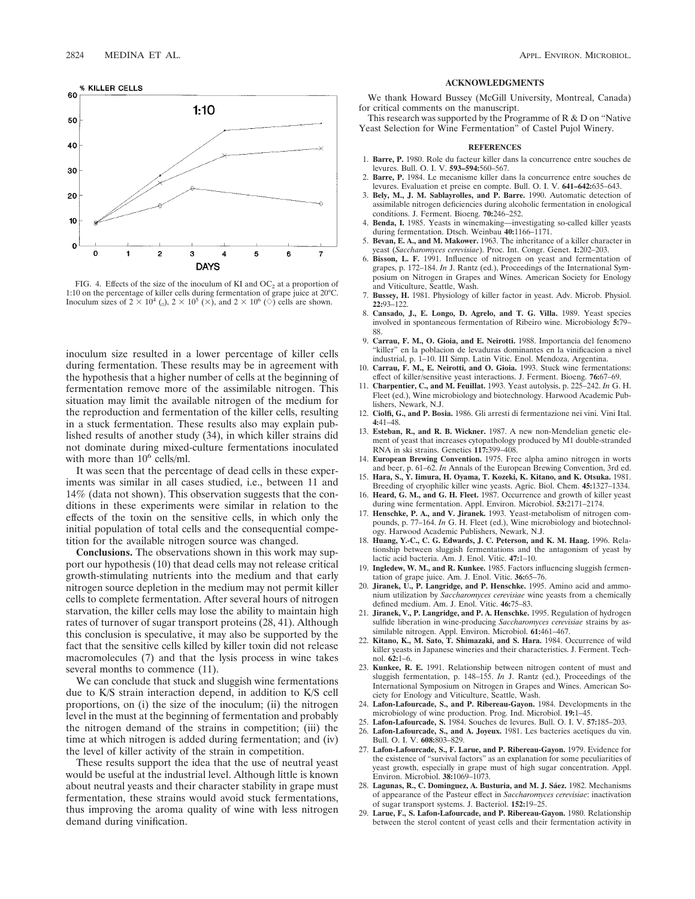

FIG. 4. Effects of the size of the inoculum of KI and  $OC_2$  at a proportion of 1:10 on the percentage of killer cells during fermentation of grape juice at 20°C. Inoculum sizes of  $2 \times 10^4$  (<sub>0</sub>),  $2 \times 10^5$  ( $\times$ ), and  $2 \times 10^6$  ( $\circ$ ) cells are shown.

inoculum size resulted in a lower percentage of killer cells during fermentation. These results may be in agreement with the hypothesis that a higher number of cells at the beginning of fermentation remove more of the assimilable nitrogen. This situation may limit the available nitrogen of the medium for the reproduction and fermentation of the killer cells, resulting in a stuck fermentation. These results also may explain published results of another study (34), in which killer strains did not dominate during mixed-culture fermentations inoculated with more than  $10^6$  cells/ml.

It was seen that the percentage of dead cells in these experiments was similar in all cases studied, i.e., between 11 and 14% (data not shown). This observation suggests that the conditions in these experiments were similar in relation to the effects of the toxin on the sensitive cells, in which only the initial population of total cells and the consequential competition for the available nitrogen source was changed.

**Conclusions.** The observations shown in this work may support our hypothesis (10) that dead cells may not release critical growth-stimulating nutrients into the medium and that early nitrogen source depletion in the medium may not permit killer cells to complete fermentation. After several hours of nitrogen starvation, the killer cells may lose the ability to maintain high rates of turnover of sugar transport proteins (28, 41). Although this conclusion is speculative, it may also be supported by the fact that the sensitive cells killed by killer toxin did not release macromolecules (7) and that the lysis process in wine takes several months to commence  $(11)$ .

We can conclude that stuck and sluggish wine fermentations due to K/S strain interaction depend, in addition to K/S cell proportions, on (i) the size of the inoculum; (ii) the nitrogen level in the must at the beginning of fermentation and probably the nitrogen demand of the strains in competition; (iii) the time at which nitrogen is added during fermentation; and (iv) the level of killer activity of the strain in competition.

These results support the idea that the use of neutral yeast would be useful at the industrial level. Although little is known about neutral yeasts and their character stability in grape must fermentation, these strains would avoid stuck fermentations, thus improving the aroma quality of wine with less nitrogen demand during vinification.

#### **ACKNOWLEDGMENTS**

We thank Howard Bussey (McGill University, Montreal, Canada) for critical comments on the manuscript.

This research was supported by the Programme of R & D on "Native Yeast Selection for Wine Fermentation" of Castel Pujol Winery.

## **REFERENCES**

- 1. **Barre, P.** 1980. Role du facteur killer dans la concurrence entre souches de levures. Bull. O. I. V. **593–594:**560–567.
- 2. **Barre, P.** 1984. Le mecanisme killer dans la concurrence entre souches de levures. Evaluation et preise en compte. Bull. O. I. V. **641–642:**635–643.
- 3. **Bely, M., J. M. Sablayrolles, and P. Barre.** 1990. Automatic detection of assimilable nitrogen deficiencies during alcoholic fermentation in enological conditions. J. Ferment. Bioeng. **70:**246–252.
- 4. **Benda, I.** 1985. Yeasts in winemaking—investigating so-called killer yeasts during fermentation. Dtsch. Weinbau **40:**1166–1171.
- 5. **Bevan, E. A., and M. Makower.** 1963. The inheritance of a killer character in yeast (*Saccharomyces cerevisiae*). Proc. Int. Congr. Genet. **1:**202–203.
- 6. **Bisson, L. F.** 1991. Influence of nitrogen on yeast and fermentation of grapes, p. 172–184. *In* J. Rantz (ed.), Proceedings of the International Symposium on Nitrogen in Grapes and Wines. American Society for Enology and Viticulture, Seattle, Wash.
- 7. **Bussey, H.** 1981. Physiology of killer factor in yeast. Adv. Microb. Physiol. **22:**93–122.
- 8. **Cansado, J., E. Longo, D. Agrelo, and T. G. Villa.** 1989. Yeast species involved in spontaneous fermentation of Ribeiro wine. Microbiology **5:**79– 88.
- 9. **Carrau, F. M., O. Gioia, and E. Neirotti.** 1988. Importancia del fenomeno "killer" en la poblacion de levaduras dominantes en la vinificacion a nivel industrial, p. 1–10. III Simp. Latin Vitic. Enol. Mendoza, Argentina.
- 10. **Carrau, F. M., E. Neirotti, and O. Gioia.** 1993. Stuck wine fermentations: effect of killer/sensitive yeast interactions. J. Ferment. Bioeng. **76:**67–69.
- 11. **Charpentier, C., and M. Feuillat.** 1993. Yeast autolysis, p. 225–242. *In* G. H. Fleet (ed.), Wine microbiology and biotechnology. Harwood Academic Publishers, Newark, N.J.
- 12. **Ciolfi, G., and P. Bosia.** 1986. Gli arresti di fermentazione nei vini. Vini Ital. **4:**41–48.
- 13. **Esteban, R., and R. B. Wickner.** 1987. A new non-Mendelian genetic element of yeast that increases cytopathology produced by M1 double-stranded RNA in ski strains. Genetics **117:**399–408.
- 14. **European Brewing Convention.** 1975. Free alpha amino nitrogen in worts and beer, p. 61–62. *In* Annals of the European Brewing Convention, 3rd ed.
- 15. **Hara, S., Y. Iimura, H. Oyama, T. Kozeki, K. Kitano, and K. Otsuka.** 1981. Breeding of cryophilic killer wine yeasts. Agric. Biol. Chem. **45:**1327–1334.
- 16. **Heard, G. M., and G. H. Fleet.** 1987. Occurrence and growth of killer yeast during wine fermentation. Appl. Environ. Microbiol. **53:**2171–2174.
- 17. **Henschke, P. A., and V. Jiranek.** 1993. Yeast-metabolism of nitrogen compounds, p. 77–164. *In* G. H. Fleet (ed.), Wine microbiology and biotechnology. Harwood Academic Publishers, Newark, N.J.
- 18. **Huang, Y.-C., C. G. Edwards, J. C. Peterson, and K. M. Haag.** 1996. Relationship between sluggish fermentations and the antagonism of yeast by lactic acid bacteria. Am. J. Enol. Vitic. **47:**1–10.
- 19. **Ingledew, W. M., and R. Kunkee.** 1985. Factors influencing sluggish fermentation of grape juice. Am. J. Enol. Vitic. **36:**65–76.
- 20. **Jiranek, U., P. Langridge, and P. Henschke.** 1995. Amino acid and ammonium utilization by *Saccharomyces cerevisiae* wine yeasts from a chemically defined medium. Am. J. Enol. Vitic. **46:**75–83.
- 21. **Jiranek, V., P. Langridge, and P. A. Henschke.** 1995. Regulation of hydrogen sulfide liberation in wine-producing *Saccharomyces cerevisiae* strains by assimilable nitrogen. Appl. Environ. Microbiol. **61:**461–467.
- 22. **Kitano, K., M. Sato, T. Shimazaki, and S. Hara.** 1984. Occurrence of wild killer yeasts in Japanese wineries and their characteristics. J. Ferment. Technol. **62:**1–6.
- 23. **Kunkee, R. E.** 1991. Relationship between nitrogen content of must and sluggish fermentation, p. 148–155. *In* J. Rantz (ed.), Proceedings of the International Symposium on Nitrogen in Grapes and Wines. American Society for Enology and Viticulture, Seattle, Wash.
- 24. **Lafon-Lafourcade, S., and P. Ribereau-Gayon.** 1984. Developments in the microbiology of wine production. Prog. Ind. Microbiol. **19:**1–45.
- 25. **Lafon-Lafourcade, S.** 1984. Souches de levures. Bull. O. I. V. **57:**185–203.
- 26. **Lafon-Lafourcade, S., and A. Joyeux.** 1981. Les bacteries acetiques du vin. Bull. O. I. V. **608:**803–829.
- 27. **Lafon-Lafourcade, S., F. Larue, and P. Ribereau-Gayon.** 1979. Evidence for the existence of "survival factors" as an explanation for some peculiarities of yeast growth, especially in grape must of high sugar concentration. Appl. Environ. Microbiol. **38:**1069–1073.
- 28. Lagunas, R., C. Dominguez, A. Busturia, and M. J. Sáez. 1982. Mechanisms of appearance of the Pasteur effect in *Saccharomyces cerevisiae*: inactivation of sugar transport systems. J. Bacteriol. **152:**19–25.
- 29. **Larue, F., S. Lafon-Lafourcade, and P. Ribereau-Gayon.** 1980. Relationship between the sterol content of yeast cells and their fermentation activity in